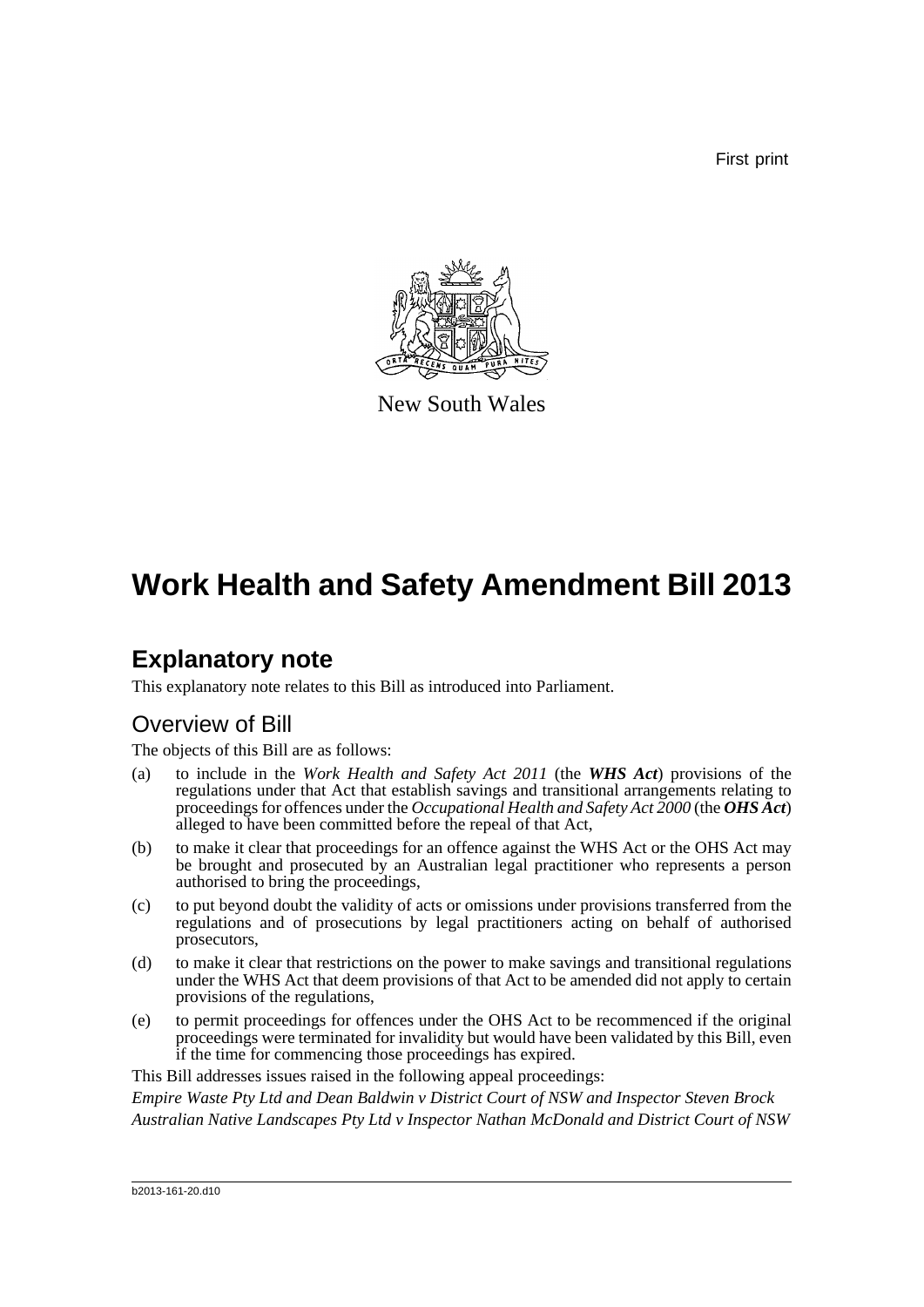First print



New South Wales

# **Work Health and Safety Amendment Bill 2013**

# **Explanatory note**

This explanatory note relates to this Bill as introduced into Parliament.

# Overview of Bill

The objects of this Bill are as follows:

- (a) to include in the *Work Health and Safety Act 2011* (the *WHS Act*) provisions of the regulations under that Act that establish savings and transitional arrangements relating to proceedings for offences under the *Occupational Health and Safety Act 2000* (the *OHS Act*) alleged to have been committed before the repeal of that Act,
- (b) to make it clear that proceedings for an offence against the WHS Act or the OHS Act may be brought and prosecuted by an Australian legal practitioner who represents a person authorised to bring the proceedings,
- (c) to put beyond doubt the validity of acts or omissions under provisions transferred from the regulations and of prosecutions by legal practitioners acting on behalf of authorised prosecutors,
- (d) to make it clear that restrictions on the power to make savings and transitional regulations under the WHS Act that deem provisions of that Act to be amended did not apply to certain provisions of the regulations,
- (e) to permit proceedings for offences under the OHS Act to be recommenced if the original proceedings were terminated for invalidity but would have been validated by this Bill, even if the time for commencing those proceedings has expired.

This Bill addresses issues raised in the following appeal proceedings:

*Empire Waste Pty Ltd and Dean Baldwin v District Court of NSW and Inspector Steven Brock Australian Native Landscapes Pty Ltd v Inspector Nathan McDonald and District Court of NSW*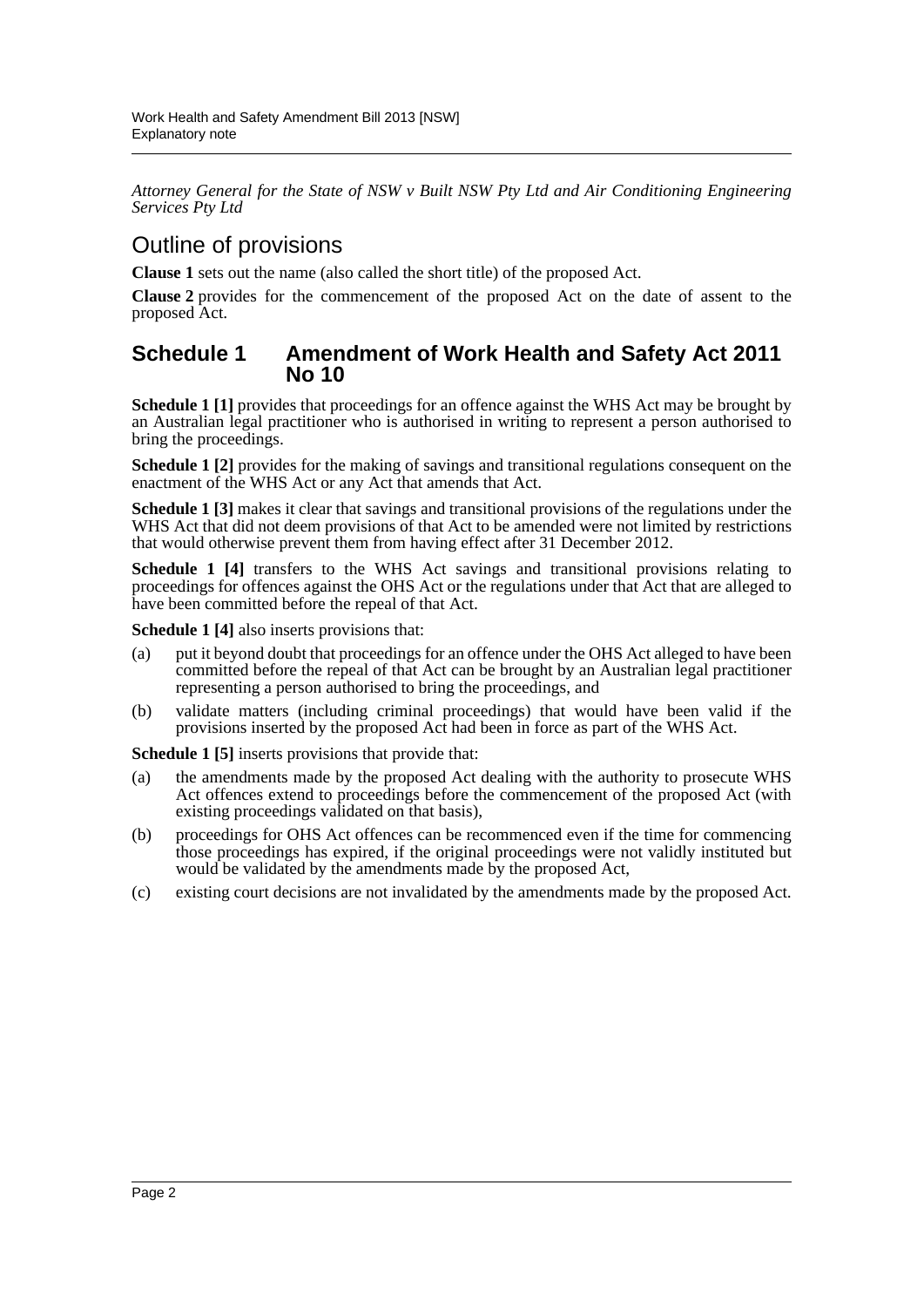*Attorney General for the State of NSW v Built NSW Pty Ltd and Air Conditioning Engineering Services Pty Ltd*

## Outline of provisions

**Clause 1** sets out the name (also called the short title) of the proposed Act.

**Clause 2** provides for the commencement of the proposed Act on the date of assent to the proposed Act.

## **Schedule 1 Amendment of Work Health and Safety Act 2011 No 10**

**Schedule 1** [1] provides that proceedings for an offence against the WHS Act may be brought by an Australian legal practitioner who is authorised in writing to represent a person authorised to bring the proceedings.

**Schedule 1 [2]** provides for the making of savings and transitional regulations consequent on the enactment of the WHS Act or any Act that amends that Act.

**Schedule 1 [3]** makes it clear that savings and transitional provisions of the regulations under the WHS Act that did not deem provisions of that Act to be amended were not limited by restrictions that would otherwise prevent them from having effect after 31 December 2012.

**Schedule 1 [4]** transfers to the WHS Act savings and transitional provisions relating to proceedings for offences against the OHS Act or the regulations under that Act that are alleged to have been committed before the repeal of that Act.

**Schedule 1 [4]** also inserts provisions that:

- (a) put it beyond doubt that proceedings for an offence under the OHS Act alleged to have been committed before the repeal of that Act can be brought by an Australian legal practitioner representing a person authorised to bring the proceedings, and
- (b) validate matters (including criminal proceedings) that would have been valid if the provisions inserted by the proposed Act had been in force as part of the WHS Act.

**Schedule 1 [5]** inserts provisions that provide that:

- (a) the amendments made by the proposed Act dealing with the authority to prosecute WHS Act offences extend to proceedings before the commencement of the proposed Act (with existing proceedings validated on that basis),
- (b) proceedings for OHS Act offences can be recommenced even if the time for commencing those proceedings has expired, if the original proceedings were not validly instituted but would be validated by the amendments made by the proposed Act,
- (c) existing court decisions are not invalidated by the amendments made by the proposed Act.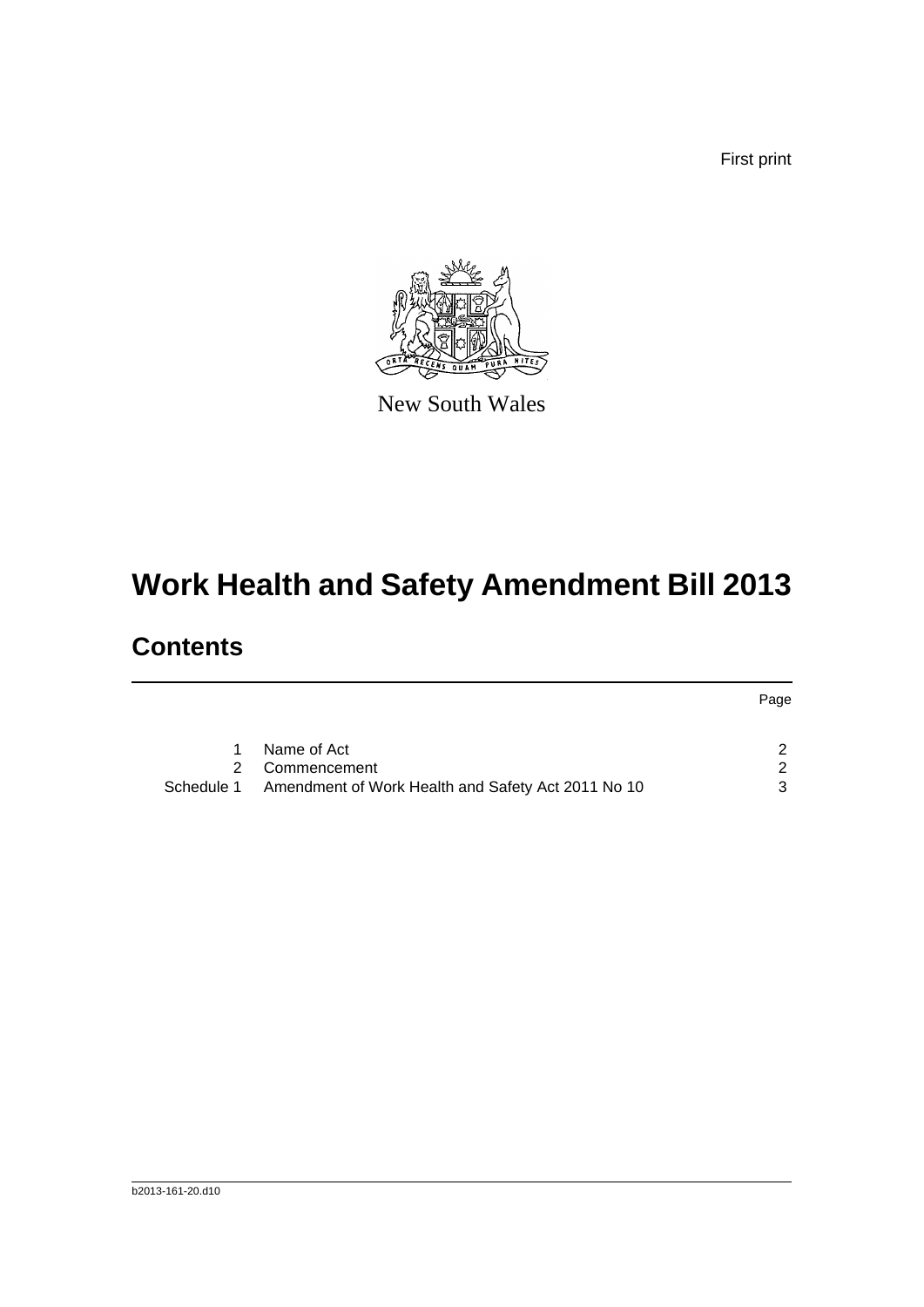First print



New South Wales

# **Work Health and Safety Amendment Bill 2013**

# **Contents**

|            |                                                    | Page |
|------------|----------------------------------------------------|------|
| 1.         | Name of Act                                        |      |
|            | 2 Commencement                                     | 2    |
| Schedule 1 | Amendment of Work Health and Safety Act 2011 No 10 | 3    |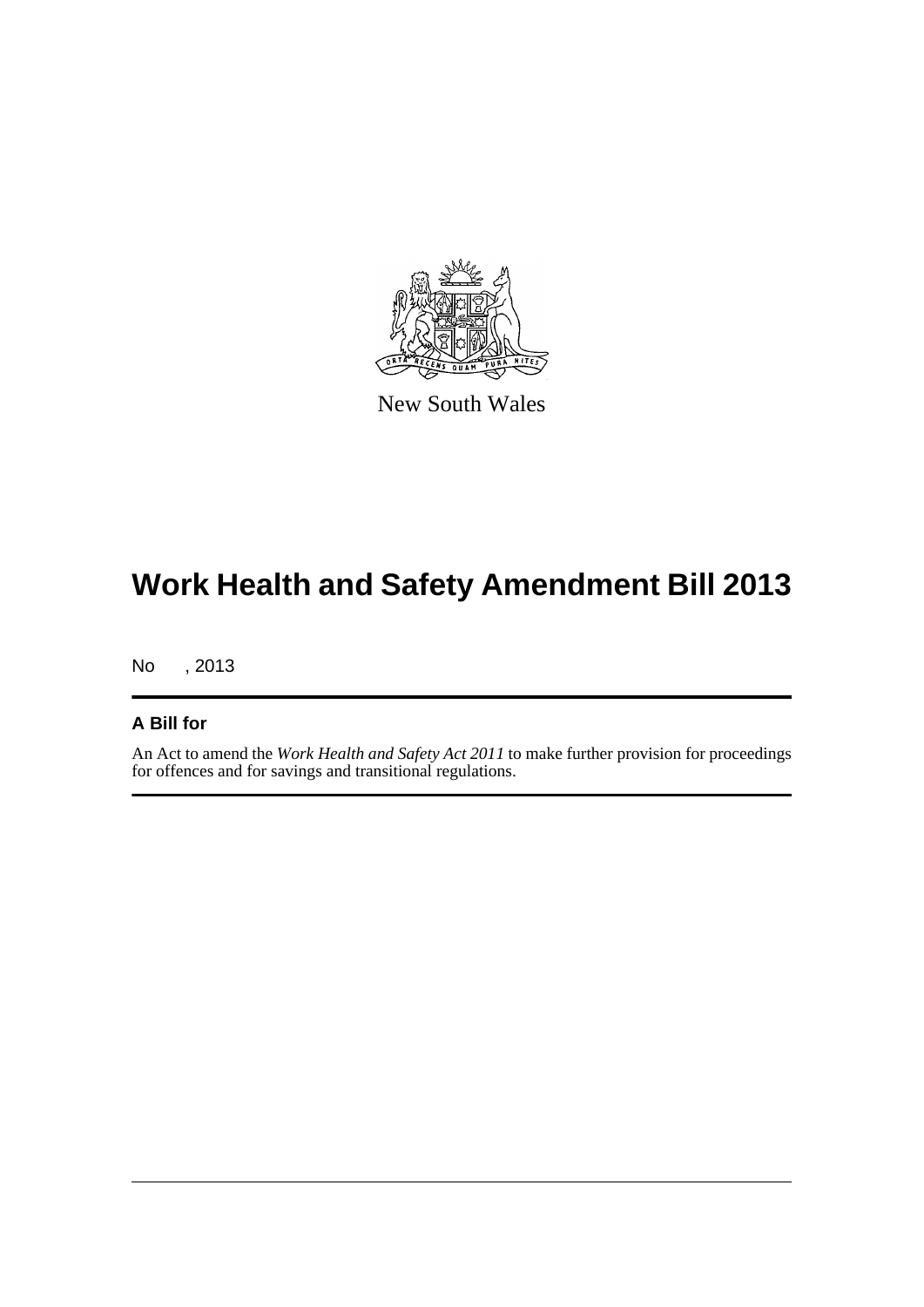

New South Wales

# **Work Health and Safety Amendment Bill 2013**

No , 2013

## **A Bill for**

An Act to amend the *Work Health and Safety Act 2011* to make further provision for proceedings for offences and for savings and transitional regulations.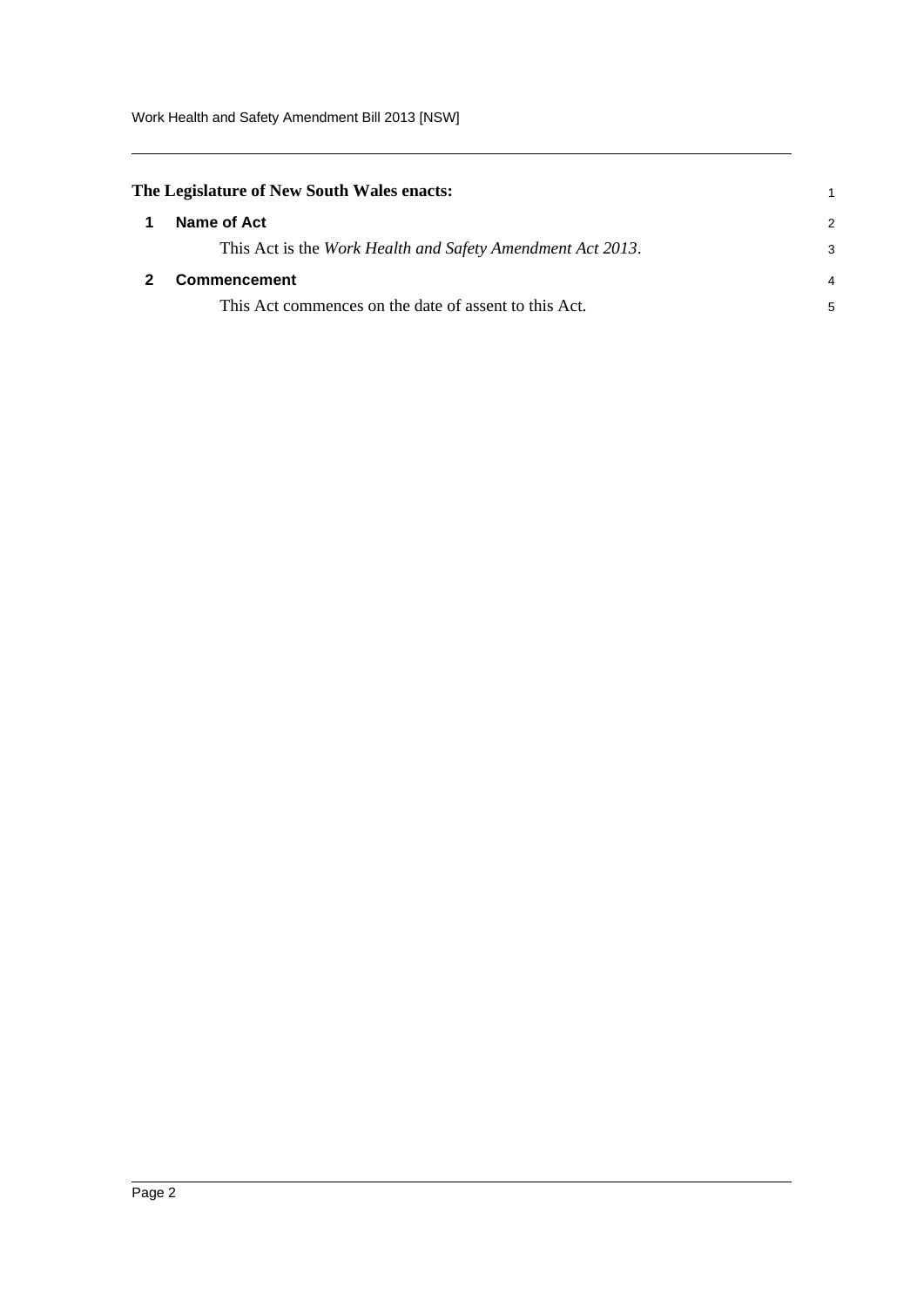<span id="page-4-1"></span><span id="page-4-0"></span>

| The Legislature of New South Wales enacts: |                                                            |   |
|--------------------------------------------|------------------------------------------------------------|---|
|                                            | Name of Act                                                | 2 |
|                                            | This Act is the Work Health and Safety Amendment Act 2013. | 3 |
|                                            | <b>Commencement</b>                                        | 4 |
|                                            | This Act commences on the date of assent to this Act.      | 5 |
|                                            |                                                            |   |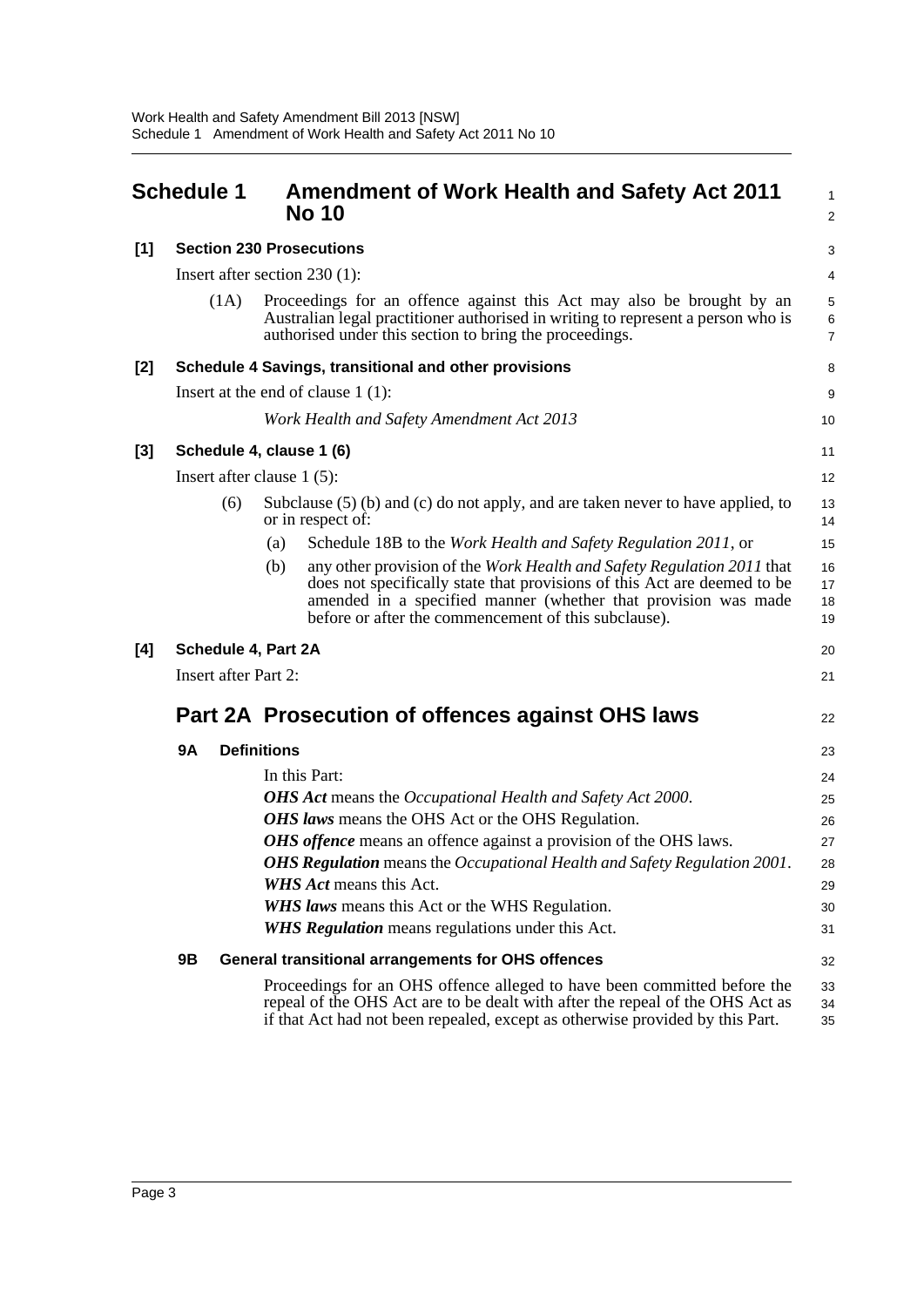<span id="page-5-0"></span>

|       | <b>Schedule 1</b>            |     |                    | <b>Amendment of Work Health and Safety Act 2011</b><br><b>No 10</b>                                                                                                                                                                                                          | 1<br>$\overline{\mathbf{c}}$ |
|-------|------------------------------|-----|--------------------|------------------------------------------------------------------------------------------------------------------------------------------------------------------------------------------------------------------------------------------------------------------------------|------------------------------|
| [1]   |                              |     |                    | <b>Section 230 Prosecutions</b>                                                                                                                                                                                                                                              | 3                            |
|       |                              |     |                    | Insert after section $230(1)$ :                                                                                                                                                                                                                                              | 4                            |
|       | (1A)                         |     |                    | Proceedings for an offence against this Act may also be brought by an<br>Australian legal practitioner authorised in writing to represent a person who is<br>authorised under this section to bring the proceedings.                                                         | 5<br>6<br>$\overline{7}$     |
| [2]   |                              |     |                    | Schedule 4 Savings, transitional and other provisions                                                                                                                                                                                                                        | 8                            |
|       |                              |     |                    | Insert at the end of clause $1(1)$ :                                                                                                                                                                                                                                         | 9                            |
|       |                              |     |                    | Work Health and Safety Amendment Act 2013                                                                                                                                                                                                                                    | 10                           |
| $[3]$ | Schedule 4, clause 1 (6)     |     |                    |                                                                                                                                                                                                                                                                              | 11                           |
|       | Insert after clause $1(5)$ : |     |                    |                                                                                                                                                                                                                                                                              | 12                           |
|       |                              | (6) |                    | Subclause (5) (b) and (c) do not apply, and are taken never to have applied, to<br>or in respect of:                                                                                                                                                                         | 13<br>14                     |
|       |                              |     | (a)                | Schedule 18B to the <i>Work Health and Safety Regulation 2011</i> , or                                                                                                                                                                                                       | 15                           |
|       |                              |     | (b)                | any other provision of the Work Health and Safety Regulation 2011 that<br>does not specifically state that provisions of this Act are deemed to be<br>amended in a specified manner (whether that provision was made<br>before or after the commencement of this subclause). | 16<br>17<br>18<br>19         |
| [4]   | Schedule 4, Part 2A          |     |                    |                                                                                                                                                                                                                                                                              | 20                           |
|       | <b>Insert after Part 2:</b>  |     |                    |                                                                                                                                                                                                                                                                              | 21                           |
|       |                              |     |                    | Part 2A Prosecution of offences against OHS laws                                                                                                                                                                                                                             | 22                           |
|       | <b>9A</b>                    |     | <b>Definitions</b> |                                                                                                                                                                                                                                                                              | 23                           |
|       |                              |     |                    | In this Part:                                                                                                                                                                                                                                                                | 24                           |
|       |                              |     |                    | OHS Act means the Occupational Health and Safety Act 2000.                                                                                                                                                                                                                   | 25                           |
|       |                              |     |                    | OHS laws means the OHS Act or the OHS Regulation.                                                                                                                                                                                                                            | 26                           |
|       |                              |     |                    | <b>OHS</b> offence means an offence against a provision of the OHS laws.                                                                                                                                                                                                     | 27                           |
|       |                              |     |                    | <b>OHS Regulation</b> means the Occupational Health and Safety Regulation 2001.                                                                                                                                                                                              | 28                           |
|       |                              |     |                    | WHS Act means this Act.                                                                                                                                                                                                                                                      | 29                           |
|       |                              |     |                    | <b>WHS laws</b> means this Act or the WHS Regulation.                                                                                                                                                                                                                        | 30                           |
|       |                              |     |                    | <b>WHS Regulation</b> means regulations under this Act.                                                                                                                                                                                                                      | 31                           |
|       | 9Β                           |     |                    | <b>General transitional arrangements for OHS offences</b>                                                                                                                                                                                                                    | 32                           |
|       |                              |     |                    | Proceedings for an OHS offence alleged to have been committed before the<br>repeal of the OHS Act are to be dealt with after the repeal of the OHS Act as<br>if that Act had not been repealed, except as otherwise provided by this Part.                                   | 33<br>34<br>35               |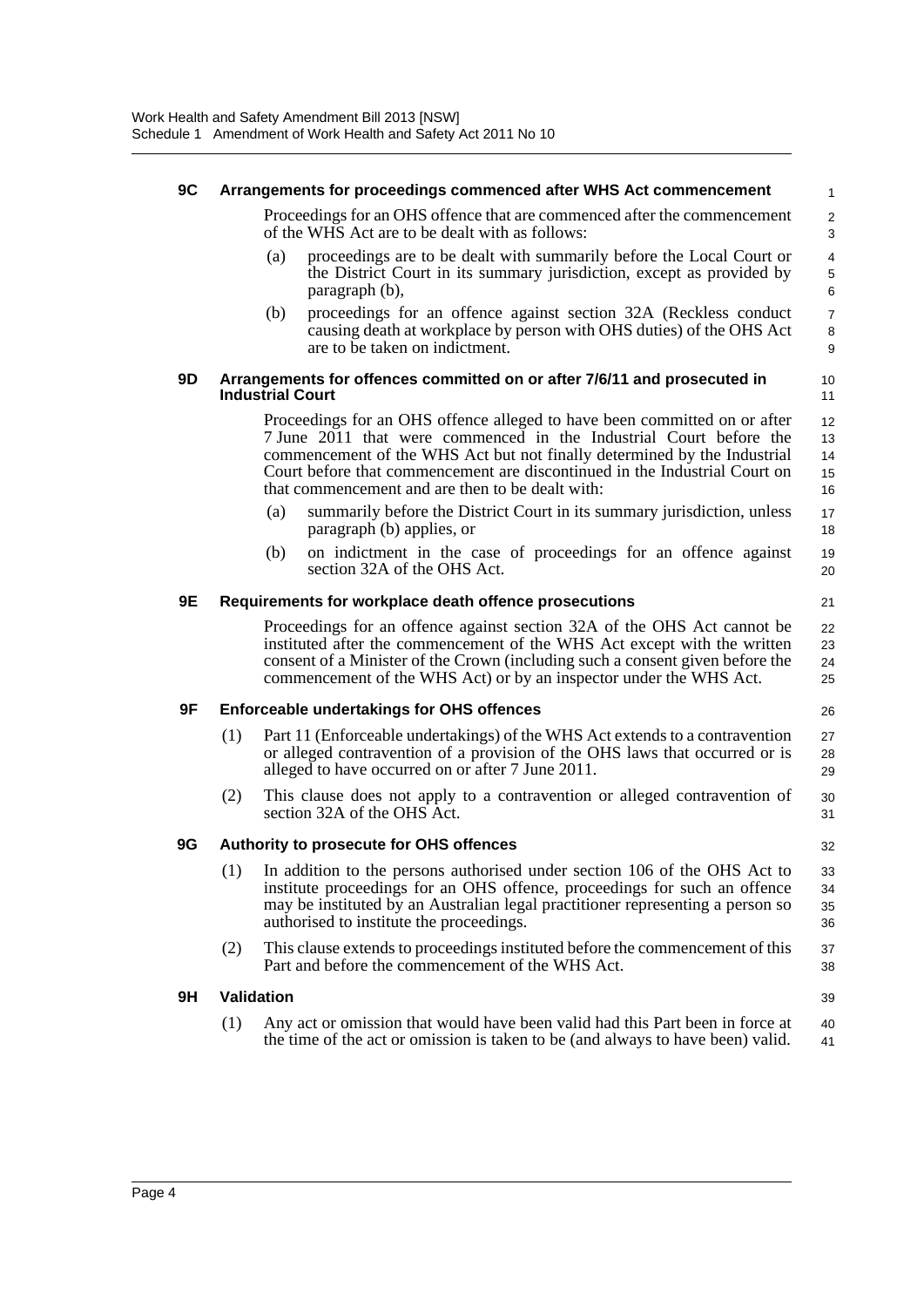### **9C Arrangements for proceedings commenced after WHS Act commencement**

Proceedings for an OHS offence that are commenced after the commencement of the WHS Act are to be dealt with as follows:

26

32

39

- (a) proceedings are to be dealt with summarily before the Local Court or the District Court in its summary jurisdiction, except as provided by paragraph (b),
- (b) proceedings for an offence against section 32A (Reckless conduct causing death at workplace by person with OHS duties) of the OHS Act are to be taken on indictment.

#### **9D Arrangements for offences committed on or after 7/6/11 and prosecuted in Industrial Court**

Proceedings for an OHS offence alleged to have been committed on or after 7 June 2011 that were commenced in the Industrial Court before the commencement of the WHS Act but not finally determined by the Industrial Court before that commencement are discontinued in the Industrial Court on that commencement and are then to be dealt with:

- (a) summarily before the District Court in its summary jurisdiction, unless paragraph (b) applies, or
- (b) on indictment in the case of proceedings for an offence against section 32A of the OHS Act.

### **9E Requirements for workplace death offence prosecutions**

Proceedings for an offence against section 32A of the OHS Act cannot be instituted after the commencement of the WHS Act except with the written consent of a Minister of the Crown (including such a consent given before the commencement of the WHS Act) or by an inspector under the WHS Act.

## **9F Enforceable undertakings for OHS offences**

- (1) Part 11 (Enforceable undertakings) of the WHS Act extends to a contravention or alleged contravention of a provision of the OHS laws that occurred or is alleged to have occurred on or after 7 June 2011. 27 28 29
- (2) This clause does not apply to a contravention or alleged contravention of section 32A of the OHS Act. 30 31

## **9G Authority to prosecute for OHS offences**

- (1) In addition to the persons authorised under section 106 of the OHS Act to institute proceedings for an OHS offence, proceedings for such an offence may be instituted by an Australian legal practitioner representing a person so authorised to institute the proceedings. 33 34 35 36
- (2) This clause extends to proceedings instituted before the commencement of this Part and before the commencement of the WHS Act. 37 38

#### **9H Validation**

(1) Any act or omission that would have been valid had this Part been in force at the time of the act or omission is taken to be (and always to have been) valid. 40 41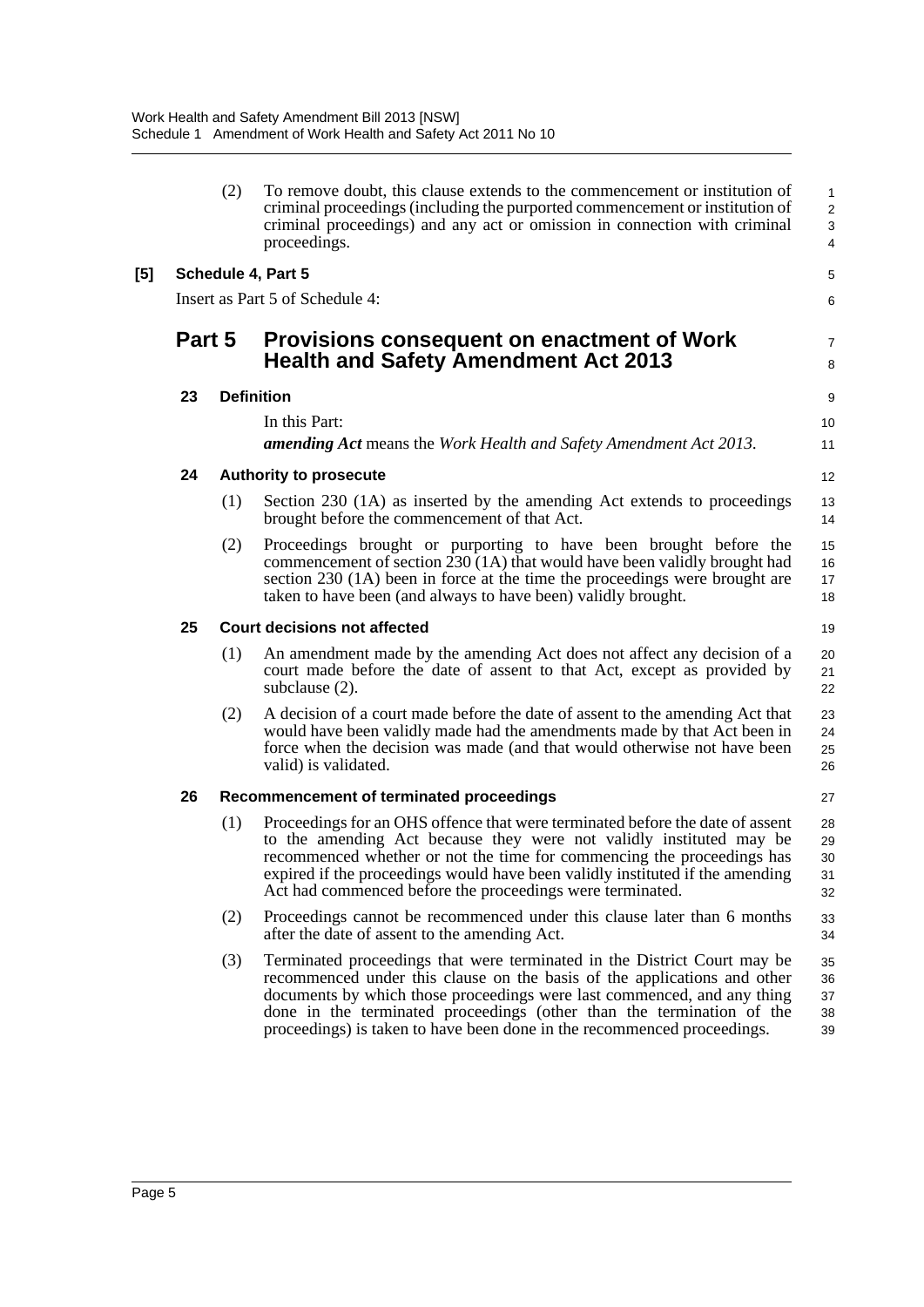|     |        | (2) | To remove doubt, this clause extends to the commencement or institution of<br>criminal proceedings (including the purported commencement or institution of<br>criminal proceedings) and any act or omission in connection with criminal<br>proceedings.                                                                                                                             | $\mathbf{1}$<br>$\overline{c}$<br>$\mathsf 3$<br>$\overline{4}$ |
|-----|--------|-----|-------------------------------------------------------------------------------------------------------------------------------------------------------------------------------------------------------------------------------------------------------------------------------------------------------------------------------------------------------------------------------------|-----------------------------------------------------------------|
| [5] |        |     | Schedule 4, Part 5                                                                                                                                                                                                                                                                                                                                                                  | 5                                                               |
|     |        |     | Insert as Part 5 of Schedule 4:                                                                                                                                                                                                                                                                                                                                                     | 6                                                               |
|     | Part 5 |     | Provisions consequent on enactment of Work<br><b>Health and Safety Amendment Act 2013</b>                                                                                                                                                                                                                                                                                           | $\overline{7}$<br>8                                             |
|     | 23     |     | <b>Definition</b>                                                                                                                                                                                                                                                                                                                                                                   | 9                                                               |
|     |        |     | In this Part:<br><b>amending Act</b> means the Work Health and Safety Amendment Act 2013.                                                                                                                                                                                                                                                                                           | 10<br>11                                                        |
|     | 24     |     | <b>Authority to prosecute</b>                                                                                                                                                                                                                                                                                                                                                       | 12                                                              |
|     |        | (1) | Section 230 (1A) as inserted by the amending Act extends to proceedings<br>brought before the commencement of that Act.                                                                                                                                                                                                                                                             | 13<br>14                                                        |
|     |        | (2) | Proceedings brought or purporting to have been brought before the<br>commencement of section 230 (1A) that would have been validly brought had<br>section 230 (1A) been in force at the time the proceedings were brought are<br>taken to have been (and always to have been) validly brought.                                                                                      | 15<br>16<br>17<br>18                                            |
|     | 25     |     | <b>Court decisions not affected</b>                                                                                                                                                                                                                                                                                                                                                 | 19                                                              |
|     |        | (1) | An amendment made by the amending Act does not affect any decision of a<br>court made before the date of assent to that Act, except as provided by<br>subclause (2).                                                                                                                                                                                                                | 20<br>21<br>22                                                  |
|     |        | (2) | A decision of a court made before the date of assent to the amending Act that<br>would have been validly made had the amendments made by that Act been in<br>force when the decision was made (and that would otherwise not have been<br>valid) is validated.                                                                                                                       | 23<br>24<br>25<br>26                                            |
|     | 26     |     | Recommencement of terminated proceedings                                                                                                                                                                                                                                                                                                                                            | 27                                                              |
|     |        | (1) | Proceedings for an OHS offence that were terminated before the date of assent<br>to the amending Act because they were not validly instituted may be<br>recommenced whether or not the time for commencing the proceedings has<br>expired if the proceedings would have been validly instituted if the amending<br>Act had commenced before the proceedings were terminated.        | 28<br>29<br>30<br>31<br>32                                      |
|     |        | (2) | Proceedings cannot be recommenced under this clause later than 6 months<br>after the date of assent to the amending Act.                                                                                                                                                                                                                                                            | 33<br>34                                                        |
|     |        | (3) | Terminated proceedings that were terminated in the District Court may be<br>recommenced under this clause on the basis of the applications and other<br>documents by which those proceedings were last commenced, and any thing<br>done in the terminated proceedings (other than the termination of the<br>proceedings) is taken to have been done in the recommenced proceedings. | 35<br>36<br>37<br>38<br>39                                      |